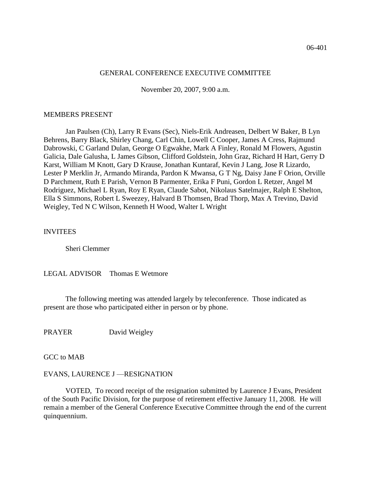#### GENERAL CONFERENCE EXECUTIVE COMMITTEE

November 20, 2007, 9:00 a.m.

### MEMBERS PRESENT

Jan Paulsen (Ch), Larry R Evans (Sec), Niels-Erik Andreasen, Delbert W Baker, B Lyn Behrens, Barry Black, Shirley Chang, Carl Chin, Lowell C Cooper, James A Cress, Rajmund Dabrowski, C Garland Dulan, George O Egwakhe, Mark A Finley, Ronald M Flowers, Agustin Galicia, Dale Galusha, L James Gibson, Clifford Goldstein, John Graz, Richard H Hart, Gerry D Karst, William M Knott, Gary D Krause, Jonathan Kuntaraf, Kevin J Lang, Jose R Lizardo, Lester P Merklin Jr, Armando Miranda, Pardon K Mwansa, G T Ng, Daisy Jane F Orion, Orville D Parchment, Ruth E Parish, Vernon B Parmenter, Erika F Puni, Gordon L Retzer, Angel M Rodriguez, Michael L Ryan, Roy E Ryan, Claude Sabot, Nikolaus Satelmajer, Ralph E Shelton, Ella S Simmons, Robert L Sweezey, Halvard B Thomsen, Brad Thorp, Max A Trevino, David Weigley, Ted N C Wilson, Kenneth H Wood, Walter L Wright

### INVITEES

Sheri Clemmer

# LEGAL ADVISOR Thomas E Wetmore

The following meeting was attended largely by teleconference. Those indicated as present are those who participated either in person or by phone.

PRAYER David Weigley

GCC to MAB

# EVANS, LAURENCE J —RESIGNATION

VOTED, To record receipt of the resignation submitted by Laurence J Evans, President of the South Pacific Division, for the purpose of retirement effective January 11, 2008. He will remain a member of the General Conference Executive Committee through the end of the current quinquennium.